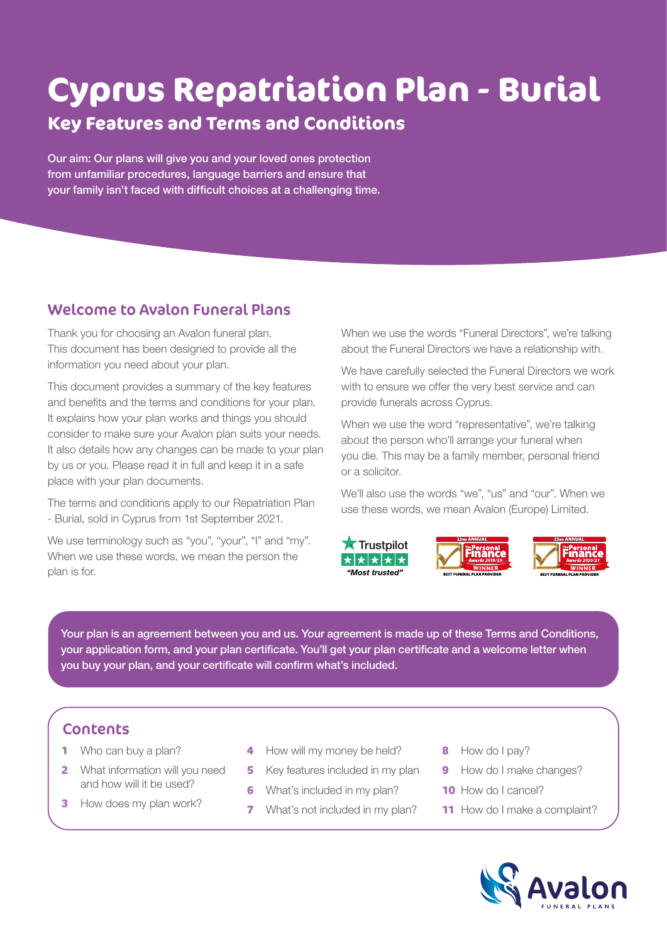# **Cyprus Repatriation Plan - Burial**

# **Key Features and Terms and Conditions**

Our aim: Our plans will give you and your loved ones protection from unfamiliar procedures, language barriers and ensure that your family isn't faced with difficult choices at a challenging time.

# Welcome to Avalon Funeral Plans

Thank you for choosing an Avalon funeral plan. This document has been designed to provide all the information you need about your plan.

This document provides a summary of the key features and benefits and the terms and conditions for your plan. It explains how your plan works and things you should consider to make sure your Avalon plan suits your needs. It also details how any changes can be made to your plan by us or you. Please read it in full and keep it in a safe place with your plan documents.

The terms and conditions apply to our Repatriation Plan - Burial, sold in Cyprus from 1st September 2021.

We use terminology such as "you", "your", "I" and "my". When we use these words, we mean the person the plan is for.

When we use the words "Funeral Directors", we're talking about the Funeral Directors we have a relationship with.

We have carefully selected the Funeral Directors we work with to ensure we offer the very best service and can provide funerals across Cyprus.

When we use the word "representative", we're talking about the person who'll arrange your funeral when you die. This may be a family member, personal friend or a solicitor.

We'll also use the words "we", "us" and "our". When we use these words, we mean Avalon (Europe) Limited.







Your plan is an agreement between you and us. Your agreement is made up of these Terms and Conditions, your application form, and your plan certificate. You'll get your plan certificate and a welcome letter when you buy your plan, and your certificate will confirm what's included.

# **Contents**

- **1** Who can buy a plan?
- **2** What information will you need and how will it be used?
- **3** How does my plan work?
- **4** How will my money be held?
- **5** Key features included in my plan
- **6** What's included in my plan?
- **7** What's not included in my plan?
- **8** How do I pay?
- **9** How do I make changes?
- **10** How do I cancel?
- **11** How do I make a complaint?

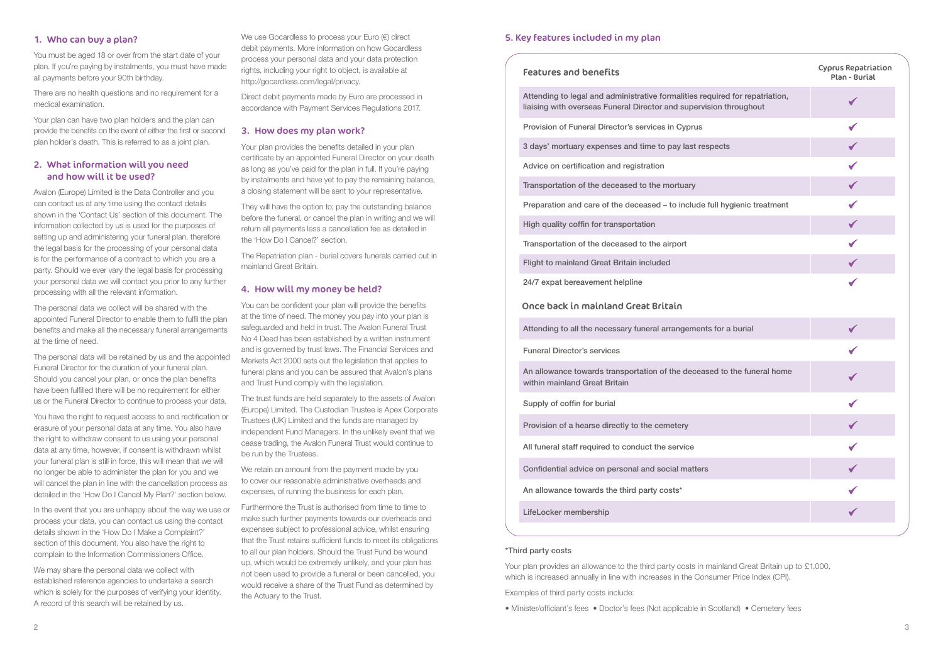|                                          | <b>Cyprus Repatriation</b><br>Plan - Burial |
|------------------------------------------|---------------------------------------------|
| uired for repatriation,<br>on throughout |                                             |
|                                          | $\checkmark$                                |
| ects                                     | $\checkmark$                                |
|                                          | $\checkmark$                                |
|                                          | $\checkmark$                                |
| <b>Ill hygienic treatment</b>            | $\checkmark$                                |
|                                          | $\checkmark$                                |
|                                          | $\checkmark$                                |
|                                          | $\checkmark$                                |
|                                          | $\checkmark$                                |
| for a burial                             | $\begin{array}{c} \leftarrow \end{array}$   |
|                                          |                                             |
| d to the funeral home                    | ✓                                           |
|                                          | $\checkmark$                                |
|                                          |                                             |
|                                          | $\checkmark$                                |
|                                          |                                             |
|                                          | $\checkmark$                                |
|                                          | $\sqrt{}$                                   |
|                                          |                                             |

Provision of Funeral Director's services in Cyprus

3 days' mortuary expenses and time to pay last resp

Advice on certification and registration

Transportation of the deceased to the mortuary

Preparation and care of the deceased – to include full

An allowance towards transportation of the decease within mainland Great Britain

High quality coffin for transportation

Transportation of the deceased to the airport

Flight to mainland Great Britain included

24/7 expat bereavement helpline

# Once back in mainland Great Britain

Attending to all the necessary funeral arrangements

Funeral Director's services

Supply of coffin for burial

Provision of a hearse directly to the cemetery

All funeral staff required to conduct the service

Confidential advice on personal and social matters

An allowance towards the third party costs\*

LifeLocker membership

# 1. Who can buy a plan?

You must be aged 18 or over from the start date of your plan. If you're paying by instalments, you must have made all payments before your 90th birthday.

There are no health questions and no requirement for a medical examination.

Your plan can have two plan holders and the plan can provide the benefits on the event of either the first or second plan holder's death. This is referred to as a joint plan.

# 2. What information will you need and how will it be used?

Avalon (Europe) Limited is the Data Controller and you can contact us at any time using the contact details shown in the 'Contact Us' section of this document. The information collected by us is used for the purposes of setting up and administering your funeral plan, therefore the legal basis for the processing of your personal data is for the performance of a contract to which you are a party. Should we ever vary the legal basis for processing your personal data we will contact you prior to any further processing with all the relevant information.

The personal data we collect will be shared with the appointed Funeral Director to enable them to fulfil the plan benefits and make all the necessary funeral arrangements at the time of need.

The personal data will be retained by us and the appointed Funeral Director for the duration of your funeral plan. Should you cancel your plan, or once the plan benefits have been fulfilled there will be no requirement for either us or the Funeral Director to continue to process your data.

You have the right to request access to and rectification or erasure of your personal data at any time. You also have the right to withdraw consent to us using your personal data at any time, however, if consent is withdrawn whilst your funeral plan is still in force, this will mean that we will no longer be able to administer the plan for you and we will cancel the plan in line with the cancellation process as detailed in the 'How Do I Cancel My Plan?' section below.

In the event that you are unhappy about the way we use or process your data, you can contact us using the contact details shown in the 'How Do I Make a Complaint?' section of this document. You also have the right to complain to the Information Commissioners Office.

We may share the personal data we collect with established reference agencies to undertake a search which is solely for the purposes of verifying your identity. A record of this search will be retained by us.

We use Gocardless to process your Euro (€) direct debit payments. More information on how Gocardless process your personal data and your data protection rights, including your right to object, is available at http://gocardless.com/legal/privacy.

Direct debit payments made by Euro are processed in accordance with Payment Services Regulations 2017.

## 3. How does my plan work?

Your plan provides the benefits detailed in your plan certificate by an appointed Funeral Director on your death as long as you've paid for the plan in full. If you're paying by instalments and have yet to pay the remaining balance, a closing statement will be sent to your representative.

They will have the option to; pay the outstanding balance before the funeral, or cancel the plan in writing and we will return all payments less a cancellation fee as detailed in the 'How Do I Cancel?' section.

The Repatriation plan - burial covers funerals carried out in mainland Great Britain.

## 4. How will my money be held?

You can be confident your plan will provide the benefits at the time of need. The money you pay into your plan is safeguarded and held in trust. The Avalon Funeral Trust No 4 Deed has been established by a written instrument and is governed by trust laws. The Financial Services and Markets Act 2000 sets out the legislation that applies to funeral plans and you can be assured that Avalon's plans and Trust Fund comply with the legislation.

The trust funds are held separately to the assets of Avalon (Europe) Limited. The Custodian Trustee is Apex Corporate Trustees (UK) Limited and the funds are managed by independent Fund Managers. In the unlikely event that we cease trading, the Avalon Funeral Trust would continue to be run by the Trustees.

We retain an amount from the payment made by you to cover our reasonable administrative overheads and expenses, of running the business for each plan.

Furthermore the Trust is authorised from time to time to make such further payments towards our overheads and expenses subject to professional advice, whilst ensuring that the Trust retains sufficient funds to meet its obligations to all our plan holders. Should the Trust Fund be wound up, which would be extremely unlikely, and your plan has not been used to provide a funeral or been cancelled, you would receive a share of the Trust Fund as determined by the Actuary to the Trust.

# 5. Key features included in my plan

#### Features and benefits

Attending to legal and administrative formalities required liaising with overseas Funeral Director and supervision

#### \*Third party costs

Your plan provides an allowance to the third party costs in mainland Great Britain up to £1,000,which is increased annually in line with increases in the Consumer Price Index (CPI).

Examples of third party costs include:

• Minister/officiant's fees • Doctor's fees (Not applicable in Scotland) • Cemetery fees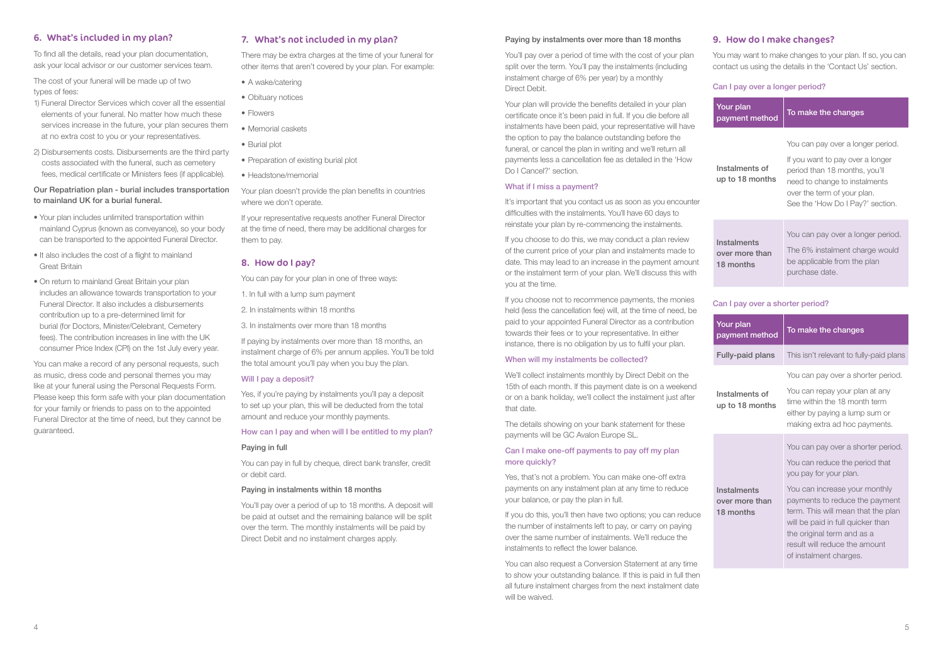# 6. What's included in my plan?

To find all the details, read your plan documentation, ask your local advisor or our customer services team.

The cost of your funeral will be made up of two types of fees:

- 1) Funeral Director Services which cover all the essential elements of your funeral. No matter how much these services increase in the future, your plan secures them at no extra cost to you or your representatives.
- 2) Disbursements costs. Disbursements are the third party costs associated with the funeral, such as cemetery fees, medical certificate or Ministers fees (if applicable).

# Our Repatriation plan - burial includes transportation to mainland UK for a burial funeral.

- A wake/catering
- Obituary notices
- Flowers
- Memorial caskets
- Burial plot
- Preparation of existing burial plot
- Headstone/memorial

- Your plan includes unlimited transportation within mainland Cyprus (known as conveyance), so your body can be transported to the appointed Funeral Director.
- It also includes the cost of a flight to mainland Great Britain
- On return to mainland Great Britain your plan includes an allowance towards transportation to your Funeral Director. It also includes a disbursements contribution up to a pre-determined limit for burial (for Doctors, Minister/Celebrant, Cemetery fees). The contribution increases in line with the UK consumer Price Index (CPI) on the 1st July every year.

If paying by instalments over more than 18 months, an instalment charge of 6% per annum applies. You'll be told the total amount you'll pay when you buy the plan.

#### Will I pay a deposit?

You can make a record of any personal requests, such as music, dress code and personal themes you may like at your funeral using the Personal Requests Form. Please keep this form safe with your plan documentation for your family or friends to pass on to the appointed Funeral Director at the time of need, but they cannot be guaranteed.

# 7. What's not included in my plan?

Your plan will provide the benefits detailed in your plan certificate once it's been paid in full. If you die before all instalments have been paid, your representative will have the option to pay the balance outstanding before the funeral, or cancel the plan in writing and we'll return all payments less a cancellation fee as detailed in the 'How Do I Cancel?' section.

There may be extra charges at the time of your funeral for other items that aren't covered by your plan. For example:

> It's important that you contact us as soon as you encounter difficulties with the instalments. You'll have 60 days to reinstate your plan by re-commencing the instalments.

Your plan doesn't provide the plan benefits in countries where we don't operate.

> If you choose to do this, we may conduct a plan review of the current price of your plan and instalments made to date. This may lead to an increase in the payment amount or the instalment term of your plan. We'll discuss this with you at the time.

If your representative requests another Funeral Director at the time of need, there may be additional charges for them to pay.

# 8. How do I pay?

You can pay for your plan in one of three ways:

1. In full with a lump sum payment

2. In instalments within 18 months

3. In instalments over more than 18 months

Yes, if you're paying by instalments you'll pay a deposit to set up your plan, this will be deducted from the total amount and reduce your monthly payments.

> If you do this, you'll then have two options; you can reduce the number of instalments left to pay, or carry on paying over the same number of instalments. We'll reduce the instalments to reflect the lower balance.

#### How can I pay and when will I be entitled to my plan?

#### Paying in full

You can pay in full by cheque, direct bank transfer, credit or debit card.

#### Paying in instalments within 18 months

You'll pay over a period of up to 18 months. A deposit will be paid at outset and the remaining balance will be split over the term. The monthly instalments will be paid by Direct Debit and no instalment charges apply.

#### Paying by instalments over more than 18 months

You'll pay over a period of time with the cost of your plan split over the term. You'll pay the instalments (including instalment charge of 6% per year) by a monthly Direct Debit.

#### What if I miss a payment?

If you choose not to recommence payments, the monies held (less the cancellation fee) will, at the time of need, be paid to your appointed Funeral Director as a contribution towards their fees or to your representative. In either instance, there is no obligation by us to fulfil your plan.

#### When will my instalments be collected?

We'll collect instalments monthly by Direct Debit on the 15th of each month. If this payment date is on a weekend or on a bank holiday, we'll collect the instalment just after that date.

The details showing on your bank statement for these payments will be GC Avalon Europe SL.

# Can I make one-off payments to pay off my plan more quickly?

Yes, that's not a problem. You can make one-off extra payments on any instalment plan at any time to reduce your balance, or pay the plan in full.

You can also request a Conversion Statement at any time to show your outstanding balance. If this is paid in full then all future instalment charges from the next instalment date will be waived.

# 9. How do I make changes?

You may want to make changes to your plan. If so, you can contact us using the details in the 'Contact Us' section.

## Can I pay over a longer period?

| Your plan<br>payment method                | To make the changes                                                                                                                                                                                        |
|--------------------------------------------|------------------------------------------------------------------------------------------------------------------------------------------------------------------------------------------------------------|
| Instalments of<br>up to 18 months          | You can pay over a longer period.<br>If you want to pay over a longer<br>period than 18 months, you'll<br>need to change to instalments<br>over the term of your plan.<br>See the 'How Do I Pay?' section. |
| Instalments<br>over more than<br>18 months | You can pay over a longer period.<br>The 6% instalment charge would<br>be applicable from the plan<br>purchase date.                                                                                       |

## Can I pay over a shorter period?

| Your plan<br>payment method                | To make the changes                                                                                                                                                                                                                                                                                                                   |
|--------------------------------------------|---------------------------------------------------------------------------------------------------------------------------------------------------------------------------------------------------------------------------------------------------------------------------------------------------------------------------------------|
| <b>Fully-paid plans</b>                    | This isn't relevant to fully-paid plans                                                                                                                                                                                                                                                                                               |
| Instalments of<br>up to 18 months          | You can pay over a shorter period.<br>You can repay your plan at any<br>time within the 18 month term<br>either by paying a lump sum or<br>making extra ad hoc payments.                                                                                                                                                              |
| Instalments<br>over more than<br>18 months | You can pay over a shorter period.<br>You can reduce the period that<br>you pay for your plan.<br>You can increase your monthly<br>payments to reduce the payment<br>term. This will mean that the plan<br>will be paid in full quicker than<br>the original term and as a<br>result will reduce the amount<br>of instalment charges. |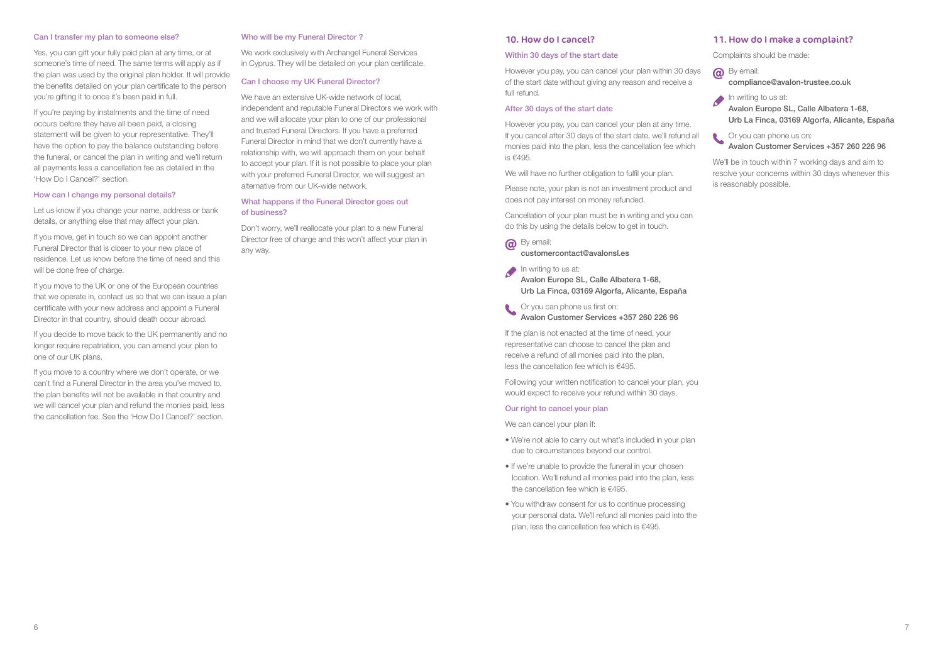#### Can I transfer my plan to someone else?

Yes, you can gift your fully paid plan at any time, or at someone's time of need. The same terms will apply as if the plan was used by the original plan holder. It will provide the benefits detailed on your plan certificate to the person you're gifting it to once it's been paid in full.

If you're paying by instalments and the time of need occurs before they have all been paid, a closing statement will be given to your representative. They'll have the option to pay the balance outstanding before the funeral, or cancel the plan in writing and we'll return all payments less a cancellation fee as detailed in the 'How Do I Cancel?' section.

If you move, get in touch so we can appoint another Funeral Director that is closer to your new place of residence. Let us know before the time of need and this will be done free of charge.

#### How can I change my personal details?

Let us know if you change your name, address or bank details, or anything else that may affect your plan.

If you move to the UK or one of the European countries that we operate in, contact us so that we can issue a plan certificate with your new address and appoint a Funeral Director in that country, should death occur abroad.

If you decide to move back to the UK permanently and no longer require repatriation, you can amend your plan to one of our UK plans.

If you move to a country where we don't operate, or we can't find a Funeral Director in the area you've moved to, the plan benefits will not be available in that country and we will cancel your plan and refund the monies paid, less the cancellation fee. See the 'How Do I Cancel?' section.

**a** By email: customercontact@avalonsl.es

In writing to us at: Avalon Europe SL, Calle Albatera 1-68, Urb La Finca, 03169 Algorfa, Alicante, España

## Who will be my Funeral Director ?

We work exclusively with Archangel Funeral Services in Cyprus. They will be detailed on your plan certificate.

> If the plan is not enacted at the time of need, your representative can choose to cancel the plan and receive a refund of all monies paid into the plan, less the cancellation fee which is €495.

#### Can I choose my UK Funeral Director?

We have an extensive UK-wide network of local, independent and reputable Funeral Directors we work with and we will allocate your plan to one of our professional and trusted Funeral Directors. If you have a preferred Funeral Director in mind that we don't currently have a relationship with, we will approach them on your behalf to accept your plan. If it is not possible to place your plan with your preferred Funeral Director, we will suggest an alternative from our UK-wide network.

In writing to us at: Avalon Europe SL, Calle Albatera 1-68, Urb La Finca, 03169 Algorfa, Alicante, España

Or you can phone us on: Avalon Customer Services +357 260 226 96

## What happens if the Funeral Director goes out of business?

Don't worry, we'll reallocate your plan to a new Funeral Director free of charge and this won't affect your plan in any way.

## 10. How do I cancel?

#### Within 30 days of the start date

However you pay, you can cancel your plan within 30 days of the start date without giving any reason and receive a full refund.

#### After 30 days of the start date

However you pay, you can cancel your plan at any time. If you cancel after 30 days of the start date, we'll refund all monies paid into the plan, less the cancellation fee which is €495.

We will have no further obligation to fulfil your plan.

Please note, your plan is not an investment product and does not pay interest on money refunded.

Cancellation of your plan must be in writing and you can do this by using the details below to get in touch.

Or you can phone us first on: Avalon Customer Services +357 260 226 96

Following your written notification to cancel your plan, you would expect to receive your refund within 30 days.

#### Our right to cancel your plan

We can cancel your plan if:

- We're not able to carry out what's included in your plan due to circumstances beyond our control.
- If we're unable to provide the funeral in your chosen location. We'll refund all monies paid into the plan, less the cancellation fee which is €495.
- You withdraw consent for us to continue processing your personal data. We'll refund all monies paid into the plan, less the cancellation fee which is €495.

# 11. How do I make a complaint?

Complaints should be made:



compliance@avalon-trustee.co.uk



We'll be in touch within 7 working days and aim to resolve your concerns within 30 days whenever this is reasonably possible.